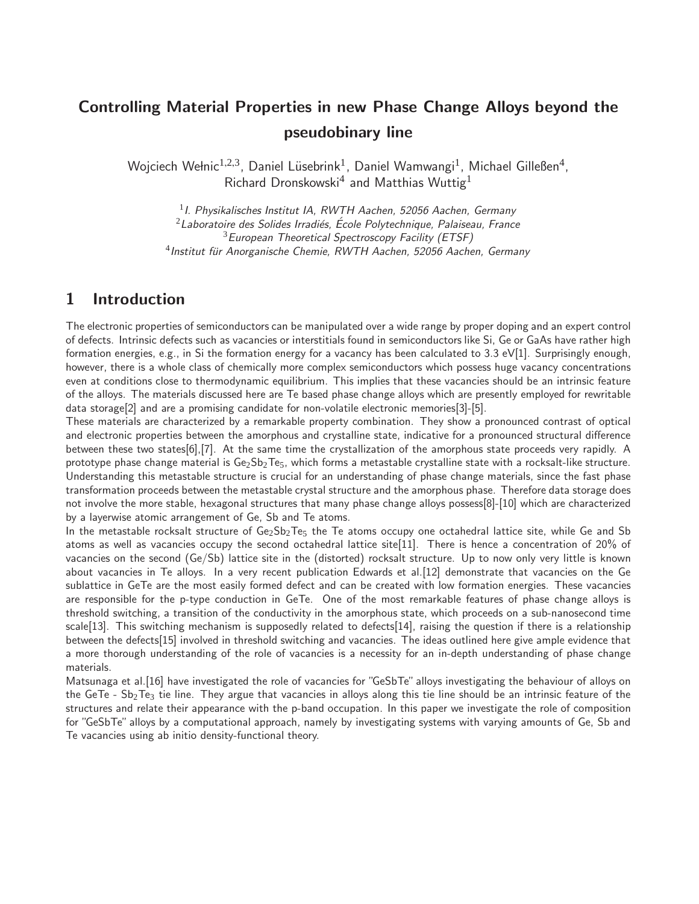# Controlling Material Properties in new Phase Change Alloys beyond the pseudobinary line

Wojciech Wełnic $^{1,2,3}$ , Daniel Lüsebrink $^{1}$ , Daniel Wamwangi $^{1}$ , Michael Gilleßen $^{4}$ , Richard Dronskowski $^4$  and Matthias Wuttig $^1$ 

 $11$ . Physikalisches Institut IA, RWTH Aachen, 52056 Aachen, Germany  $2$ Laboratoire des Solides Irradiés, École Polytechnique, Palaiseau, France <sup>3</sup> European Theoretical Spectroscopy Facility (ETSF)  $^4$ Institut für Anorganische Chemie, RWTH Aachen, 52056 Aachen, Germany

### 1 Introduction

The electronic properties of semiconductors can be manipulated over a wide range by proper doping and an expert control of defects. Intrinsic defects such as vacancies or interstitials found in semiconductors like Si, Ge or GaAs have rather high formation energies, e.g., in Si the formation energy for a vacancy has been calculated to 3.3 eV[1]. Surprisingly enough, however, there is a whole class of chemically more complex semiconductors which possess huge vacancy concentrations even at conditions close to thermodynamic equilibrium. This implies that these vacancies should be an intrinsic feature of the alloys. The materials discussed here are Te based phase change alloys which are presently employed for rewritable data storage[2] and are a promising candidate for non-volatile electronic memories[3]-[5].

These materials are characterized by a remarkable property combination. They show a pronounced contrast of optical and electronic properties between the amorphous and crystalline state, indicative for a pronounced structural difference between these two states[6],[7]. At the same time the crystallization of the amorphous state proceeds very rapidly. A prototype phase change material is  $Ge_2Sb_2Te_5$ , which forms a metastable crystalline state with a rocksalt-like structure. Understanding this metastable structure is crucial for an understanding of phase change materials, since the fast phase transformation proceeds between the metastable crystal structure and the amorphous phase. Therefore data storage does not involve the more stable, hexagonal structures that many phase change alloys possess[8]-[10] which are characterized by a layerwise atomic arrangement of Ge, Sb and Te atoms.

In the metastable rocksalt structure of Ge<sub>2</sub>Sb<sub>2</sub>Te<sub>5</sub> the Te atoms occupy one octahedral lattice site, while Ge and Sb atoms as well as vacancies occupy the second octahedral lattice site[11]. There is hence a concentration of 20% of vacancies on the second (Ge/Sb) lattice site in the (distorted) rocksalt structure. Up to now only very little is known about vacancies in Te alloys. In a very recent publication Edwards et al.[12] demonstrate that vacancies on the Ge sublattice in GeTe are the most easily formed defect and can be created with low formation energies. These vacancies are responsible for the p-type conduction in GeTe. One of the most remarkable features of phase change alloys is threshold switching, a transition of the conductivity in the amorphous state, which proceeds on a sub-nanosecond time scale[13]. This switching mechanism is supposedly related to defects[14], raising the question if there is a relationship between the defects[15] involved in threshold switching and vacancies. The ideas outlined here give ample evidence that a more thorough understanding of the role of vacancies is a necessity for an in-depth understanding of phase change materials.

Matsunaga et al.<sup>[16]</sup> have investigated the role of vacancies for "GeSbTe" alloys investigating the behaviour of alloys on the GeTe -  $Sb_2Te_3$  tie line. They argue that vacancies in alloys along this tie line should be an intrinsic feature of the structures and relate their appearance with the p-band occupation. In this paper we investigate the role of composition for "GeSbTe" alloys by a computational approach, namely by investigating systems with varying amounts of Ge, Sb and Te vacancies using ab initio density-functional theory.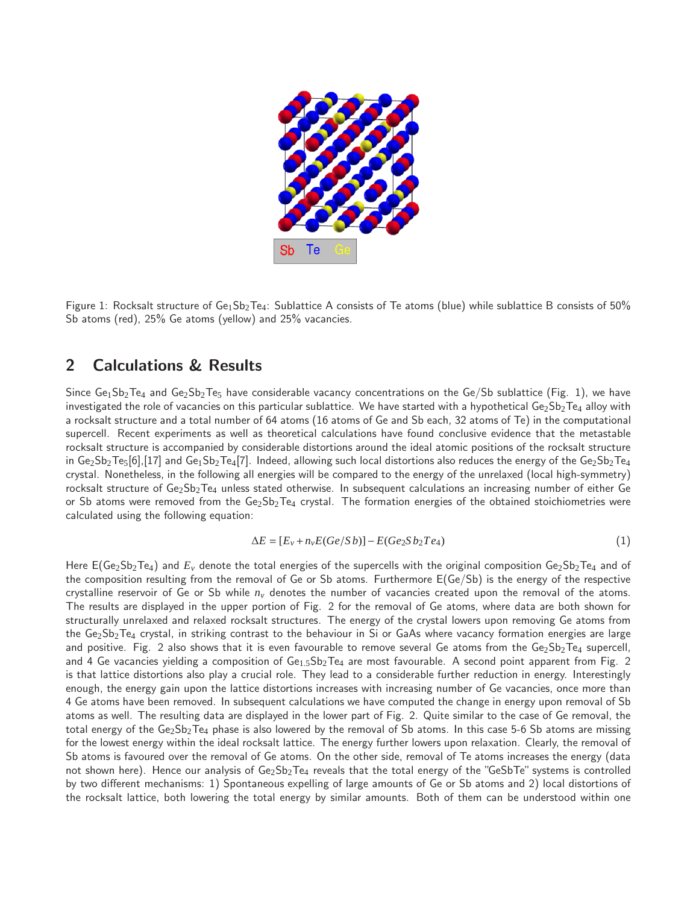

Figure 1: Rocksalt structure of  $Ge_1Sb_2Te_4$ : Sublattice A consists of Te atoms (blue) while sublattice B consists of 50% Sb atoms (red), 25% Ge atoms (yellow) and 25% vacancies.

### 2 Calculations & Results

Since  $Ge_1Sb_2Te_4$  and  $Ge_2Sb_2Te_5$  have considerable vacancy concentrations on the  $Ge/Se$  sublattice (Fig. 1), we have investigated the role of vacancies on this particular sublattice. We have started with a hypothetical  $Ge_2Sb_2Te_4$  alloy with a rocksalt structure and a total number of 64 atoms (16 atoms of Ge and Sb each, 32 atoms of Te) in the computational supercell. Recent experiments as well as theoretical calculations have found conclusive evidence that the metastable rocksalt structure is accompanied by considerable distortions around the ideal atomic positions of the rocksalt structure in  $Ge_2Sb_2Te_5[6]$ , [17] and  $Ge_1Sb_2Te_4[7]$ . Indeed, allowing such local distortions also reduces the energy of the  $Ge_2Sb_2Te_4$ crystal. Nonetheless, in the following all energies will be compared to the energy of the unrelaxed (local high-symmetry) rocksalt structure of  $Ge_2Sb_2Te_4$  unless stated otherwise. In subsequent calculations an increasing number of either Ge or Sb atoms were removed from the  $Ge_2Sb_2Te_4$  crystal. The formation energies of the obtained stoichiometries were calculated using the following equation:

$$
\Delta E = [E_v + n_v E(Ge/Sb)] - E(Ge_2Sb_2Te_4)
$$
\n(1)

Here  $E(Ge_2Sb_2Te_4)$  and  $E_\nu$  denote the total energies of the supercells with the original composition  $Ge_2Sb_2Te_4$  and of the composition resulting from the removal of Ge or Sb atoms. Furthermore E(Ge/Sb) is the energy of the respective crystalline reservoir of Ge or Sb while *n<sup>v</sup>* denotes the number of vacancies created upon the removal of the atoms. The results are displayed in the upper portion of Fig. 2 for the removal of Ge atoms, where data are both shown for structurally unrelaxed and relaxed rocksalt structures. The energy of the crystal lowers upon removing Ge atoms from the Ge<sub>2</sub>Sb<sub>2</sub>Te<sub>4</sub> crystal, in striking contrast to the behaviour in Si or GaAs where vacancy formation energies are large and positive. Fig. 2 also shows that it is even favourable to remove several Ge atoms from the  $Ge_2Sb_2Te_4$  supercell, and 4 Ge vacancies yielding a composition of Ge<sub>1.5</sub>Sb<sub>2</sub>Te<sub>4</sub> are most favourable. A second point apparent from Fig. 2 is that lattice distortions also play a crucial role. They lead to a considerable further reduction in energy. Interestingly enough, the energy gain upon the lattice distortions increases with increasing number of Ge vacancies, once more than 4 Ge atoms have been removed. In subsequent calculations we have computed the change in energy upon removal of Sb atoms as well. The resulting data are displayed in the lower part of Fig. 2. Quite similar to the case of Ge removal, the total energy of the  $Ge_2Sb_2Te_4$  phase is also lowered by the removal of Sb atoms. In this case 5-6 Sb atoms are missing for the lowest energy within the ideal rocksalt lattice. The energy further lowers upon relaxation. Clearly, the removal of Sb atoms is favoured over the removal of Ge atoms. On the other side, removal of Te atoms increases the energy (data not shown here). Hence our analysis of  $Ge_2Sb_2Te_4$  reveals that the total energy of the "GeSbTe" systems is controlled by two different mechanisms: 1) Spontaneous expelling of large amounts of Ge or Sb atoms and 2) local distortions of the rocksalt lattice, both lowering the total energy by similar amounts. Both of them can be understood within one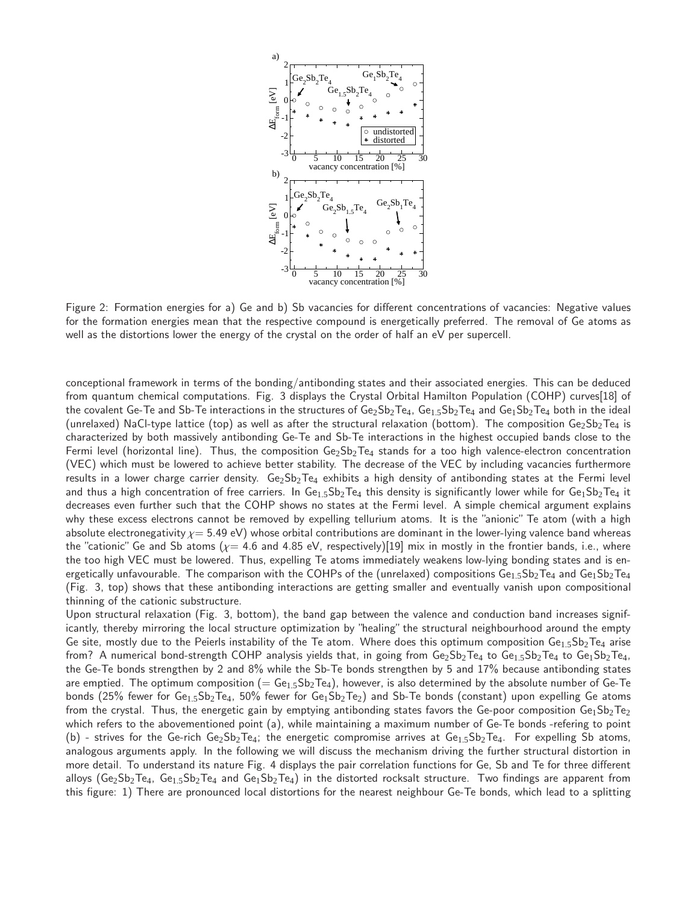

Figure 2: Formation energies for a) Ge and b) Sb vacancies for different concentrations of vacancies: Negative values for the formation energies mean that the respective compound is energetically preferred. The removal of Ge atoms as well as the distortions lower the energy of the crystal on the order of half an eV per supercell.

conceptional framework in terms of the bonding/antibonding states and their associated energies. This can be deduced from quantum chemical computations. Fig. 3 displays the Crystal Orbital Hamilton Population (COHP) curves[18] of the covalent Ge-Te and Sb-Te interactions in the structures of  $Ge_2Sb_2Te_4$ ,  $Ge_{1.5}Sb_2Te_4$  and  $Ge_1Sb_2Te_4$  both in the ideal (unrelaxed) NaCl-type lattice (top) as well as after the structural relaxation (bottom). The composition  $Ge_2Sb_2Te_4$  is characterized by both massively antibonding Ge-Te and Sb-Te interactions in the highest occupied bands close to the Fermi level (horizontal line). Thus, the composition  $Ge_2Sb_2Te_4$  stands for a too high valence-electron concentration (VEC) which must be lowered to achieve better stability. The decrease of the VEC by including vacancies furthermore results in a lower charge carrier density.  $Ge_2Sb_2Te_4$  exhibits a high density of antibonding states at the Fermi level and thus a high concentration of free carriers. In  $Ge<sub>1.5</sub>Sb<sub>2</sub>Te<sub>4</sub>$  this density is significantly lower while for  $Ge<sub>1</sub>Se<sub>2</sub>Te<sub>4</sub>$  it decreases even further such that the COHP shows no states at the Fermi level. A simple chemical argument explains why these excess electrons cannot be removed by expelling tellurium atoms. It is the "anionic" Te atom (with a high absolute electronegativity  $\chi = 5.49$  eV) whose orbital contributions are dominant in the lower-lying valence band whereas the "cationic" Ge and Sb atoms ( $\chi$  = 4.6 and 4.85 eV, respectively)[19] mix in mostly in the frontier bands, i.e., where the too high VEC must be lowered. Thus, expelling Te atoms immediately weakens low-lying bonding states and is energetically unfavourable. The comparison with the COHPs of the (unrelaxed) compositions  $Ge_{1.5}Sb_2Te_4$  and  $Ge_1Sb_2Te_4$ (Fig. 3, top) shows that these antibonding interactions are getting smaller and eventually vanish upon compositional thinning of the cationic substructure.

Upon structural relaxation (Fig. 3, bottom), the band gap between the valence and conduction band increases significantly, thereby mirroring the local structure optimization by "healing" the structural neighbourhood around the empty Ge site, mostly due to the Peierls instability of the Te atom. Where does this optimum composition Ge<sub>1.5</sub>Sb<sub>2</sub>Te<sub>4</sub> arise from? A numerical bond-strength COHP analysis yields that, in going from  $Ge_2Sb_2Te_4$  to  $Ge_1Sb_2Te_4$ , to  $Ge_1Sb_2Te_4$ , the Ge-Te bonds strengthen by 2 and 8% while the Sb-Te bonds strengthen by 5 and 17% because antibonding states are emptied. The optimum composition  $(= Ge_{1.5}Sb_2Te_4)$ , however, is also determined by the absolute number of Ge-Te bonds (25% fewer for Ge<sub>1.5</sub>Sb<sub>2</sub>Te<sub>4</sub>, 50% fewer for Ge<sub>1</sub>Sb<sub>2</sub>Te<sub>2</sub>) and Sb-Te bonds (constant) upon expelling Ge atoms from the crystal. Thus, the energetic gain by emptying antibonding states favors the Ge-poor composition  $Ge_1Sb_2Te_2$ which refers to the abovementioned point (a), while maintaining a maximum number of Ge-Te bonds -refering to point (b) - strives for the Ge-rich Ge<sub>2</sub>Sb<sub>2</sub>Te<sub>4</sub>; the energetic compromise arrives at Ge<sub>15</sub>Sb<sub>2</sub>Te<sub>4</sub>. For expelling Sb atoms, analogous arguments apply. In the following we will discuss the mechanism driving the further structural distortion in more detail. To understand its nature Fig. 4 displays the pair correlation functions for Ge, Sb and Te for three different alloys (Ge<sub>2</sub>Sb<sub>2</sub>Te<sub>4</sub>, Ge<sub>1.5</sub>Sb<sub>2</sub>Te<sub>4</sub> and Ge<sub>1</sub>Sb<sub>2</sub>Te<sub>4</sub>) in the distorted rocksalt structure. Two findings are apparent from this figure: 1) There are pronounced local distortions for the nearest neighbour Ge-Te bonds, which lead to a splitting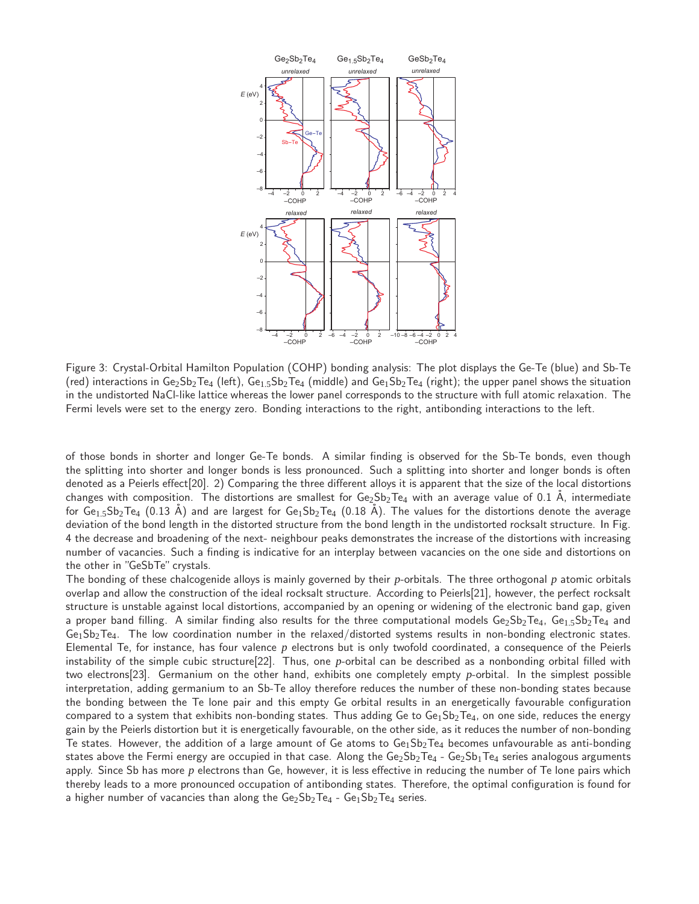

Figure 3: Crystal-Orbital Hamilton Population (COHP) bonding analysis: The plot displays the Ge-Te (blue) and Sb-Te (red) interactions in Ge<sub>2</sub>Sb<sub>2</sub>Te<sub>4</sub> (left), Ge<sub>1.5</sub>Sb<sub>2</sub>Te<sub>4</sub> (middle) and Ge<sub>1</sub>Sb<sub>2</sub>Te<sub>4</sub> (right); the upper panel shows the situation in the undistorted NaCl-like lattice whereas the lower panel corresponds to the structure with full atomic relaxation. The Fermi levels were set to the energy zero. Bonding interactions to the right, antibonding interactions to the left.

of those bonds in shorter and longer Ge-Te bonds. A similar finding is observed for the Sb-Te bonds, even though the splitting into shorter and longer bonds is less pronounced. Such a splitting into shorter and longer bonds is often denoted as a Peierls effect[20]. 2) Comparing the three different alloys it is apparent that the size of the local distortions changes with composition. The distortions are smallest for  $Ge_2Sb_2Te_4$  with an average value of 0.1 Å, intermediate for  $Ge_{1.5}Sb_2Te_4$  (0.13 Å) and are largest for  $Ge_1Sb_2Te_4$  (0.18 Å). The values for the distortions denote the average deviation of the bond length in the distorted structure from the bond length in the undistorted rocksalt structure. In Fig. 4 the decrease and broadening of the next- neighbour peaks demonstrates the increase of the distortions with increasing number of vacancies. Such a finding is indicative for an interplay between vacancies on the one side and distortions on the other in "GeSbTe" crystals.

The bonding of these chalcogenide alloys is mainly governed by their *p*-orbitals. The three orthogonal *p* atomic orbitals overlap and allow the construction of the ideal rocksalt structure. According to Peierls[21], however, the perfect rocksalt structure is unstable against local distortions, accompanied by an opening or widening of the electronic band gap, given a proper band filling. A similar finding also results for the three computational models  $Ge_2Sb_2Te_4$ ,  $Ge_1Sb_2Te_4$  and  $Ge<sub>1</sub>Sb<sub>2</sub>Te<sub>4</sub>$ . The low coordination number in the relaxed/distorted systems results in non-bonding electronic states. Elemental Te, for instance, has four valence *p* electrons but is only twofold coordinated, a consequence of the Peierls instability of the simple cubic structure[22]. Thus, one *p*-orbital can be described as a nonbonding orbital filled with two electrons[23]. Germanium on the other hand, exhibits one completely empty *p*-orbital. In the simplest possible interpretation, adding germanium to an Sb-Te alloy therefore reduces the number of these non-bonding states because the bonding between the Te lone pair and this empty Ge orbital results in an energetically favourable configuration compared to a system that exhibits non-bonding states. Thus adding Ge to  $Ge_1Sb_2Te_4$ , on one side, reduces the energy gain by the Peierls distortion but it is energetically favourable, on the other side, as it reduces the number of non-bonding Te states. However, the addition of a large amount of Ge atoms to  $Ge_1Sb_2Te_4$  becomes unfavourable as anti-bonding states above the Fermi energy are occupied in that case. Along the  $Ge_2Sb_2Te_4 - Ge_2Sb_1Te_4$  series analogous arguments apply. Since Sb has more p electrons than Ge, however, it is less effective in reducing the number of Te lone pairs which thereby leads to a more pronounced occupation of antibonding states. Therefore, the optimal configuration is found for a higher number of vacancies than along the  $Ge_2Sb_2Te_4 - Ge_1Sb_2Te_4$  series.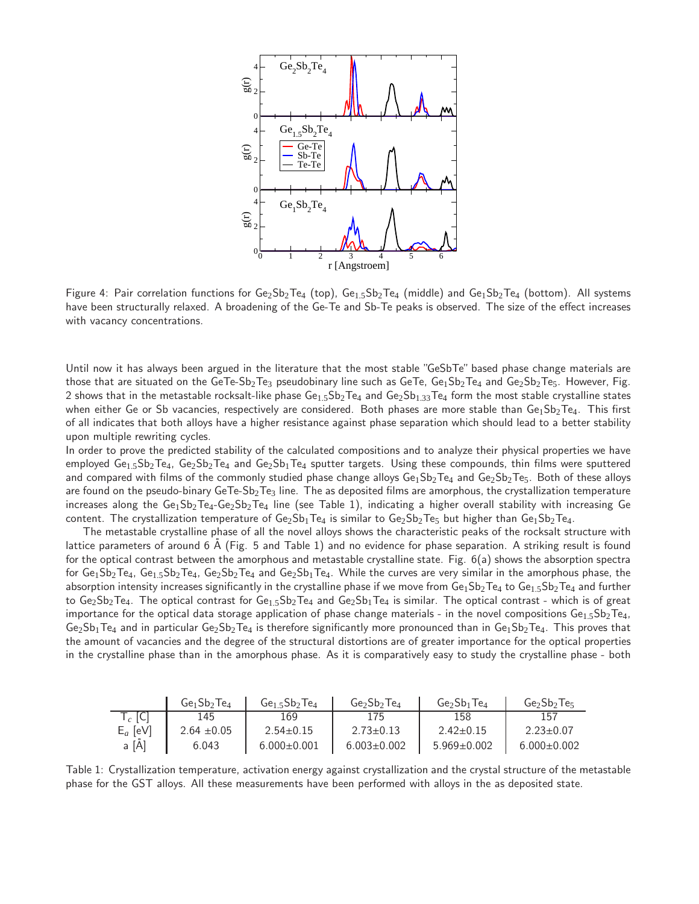

Figure 4: Pair correlation functions for  $Ge_2Sb_2Te_4$  (top),  $Ge_{1.5}Sb_2Te_4$  (middle) and  $Ge_1Sb_2Te_4$  (bottom). All systems have been structurally relaxed. A broadening of the Ge-Te and Sb-Te peaks is observed. The size of the effect increases with vacancy concentrations.

Until now it has always been argued in the literature that the most stable "GeSbTe" based phase change materials are those that are situated on the GeTe-Sb<sub>2</sub>Te<sub>3</sub> pseudobinary line such as GeTe, Ge<sub>1</sub>Sb<sub>2</sub>Te<sub>4</sub> and Ge<sub>2</sub>Sb<sub>2</sub>Te<sub>5</sub>. However, Fig. 2 shows that in the metastable rocksalt-like phase  $Ge_{1.5}Sb_2Te_4$  and  $Ge_2Sb_{1.33}Te_4$  form the most stable crystalline states when either Ge or Sb vacancies, respectively are considered. Both phases are more stable than  $Ge_1Sb_2Te_4$ . This first of all indicates that both alloys have a higher resistance against phase separation which should lead to a better stability upon multiple rewriting cycles.

In order to prove the predicted stability of the calculated compositions and to analyze their physical properties we have employed  $Ge_1.5Sb_2Te_4$ ,  $Ge_2Sb_2Te_4$  and  $Ge_2Sb_1Te_4$  sputter targets. Using these compounds, thin films were sputtered and compared with films of the commonly studied phase change alloys  $Ge_1Sb_2Te_4$  and  $Ge_2Sb_2Te_5$ . Both of these alloys are found on the pseudo-binary GeTe-Sb<sub>2</sub>Te<sub>3</sub> line. The as deposited films are amorphous, the crystallization temperature increases along the  $Ge_1Sb_2Te_4-Ge_2Sb_2Te_4$  line (see Table 1), indicating a higher overall stability with increasing Ge content. The crystallization temperature of  $Ge_2Sb_1Te_4$  is similar to  $Ge_2Sb_2Te_5$  but higher than  $Ge_1Sb_2Te_4$ .

The metastable crystalline phase of all the novel alloys shows the characteristic peaks of the rocksalt structure with lattice parameters of around  $6$  Å (Fig. 5 and Table 1) and no evidence for phase separation. A striking result is found for the optical contrast between the amorphous and metastable crystalline state. Fig. 6(a) shows the absorption spectra for  $Ge_1Sb_2Te_4$ ,  $Ge_1Sb_2Te_4$ ,  $Ge_2Sb_2Te_4$  and  $Ge_2Sb_1Te_4$ . While the curves are very similar in the amorphous phase, the absorption intensity increases significantly in the crystalline phase if we move from  $Ge_1Sb_2Te_4$  to  $Ge_1Sb_2Te_4$  and further to  $Ge_2Sb_2Te_4$ . The optical contrast for  $Ge_{1.5}Sb_2Te_4$  and  $Ge_2Sb_1Te_4$  is similar. The optical contrast - which is of great importance for the optical data storage application of phase change materials - in the novel compositions  $Ge_{1.5}Sb_2Te_4$ ,  $Ge_2Sb_1Te_4$  and in particular  $Ge_2Sb_2Te_4$  is therefore significantly more pronounced than in  $Ge_1Sb_2Te_4$ . This proves that the amount of vacancies and the degree of the structural distortions are of greater importance for the optical properties in the crystalline phase than in the amorphous phase. As it is comparatively easy to study the crystalline phase - both

|                    | $Ge_1Sb_2Te_4$  | $Ge1.5Sb2Te4$     | $Ge_2Sb_2Te_4$    | $Ge2Sb1Te4$       | $Ge2Sb2Te5$       |
|--------------------|-----------------|-------------------|-------------------|-------------------|-------------------|
| $\mathsf{T}_c$ [C] | 145             | 169               | 175               | 158               | 157               |
| $E_a$ [eV]         | $2.64 \pm 0.05$ | $2.54 \pm 0.15$   | $2.73 \pm 0.13$   | $2.42 \pm 0.15$   | $2.23 \pm 0.07$   |
| $a \overline{[A]}$ | 6.043           | $6.000 \pm 0.001$ | $6.003 \pm 0.002$ | $5.969 \pm 0.002$ | $6.000 \pm 0.002$ |

Table 1: Crystallization temperature, activation energy against crystallization and the crystal structure of the metastable phase for the GST alloys. All these measurements have been performed with alloys in the as deposited state.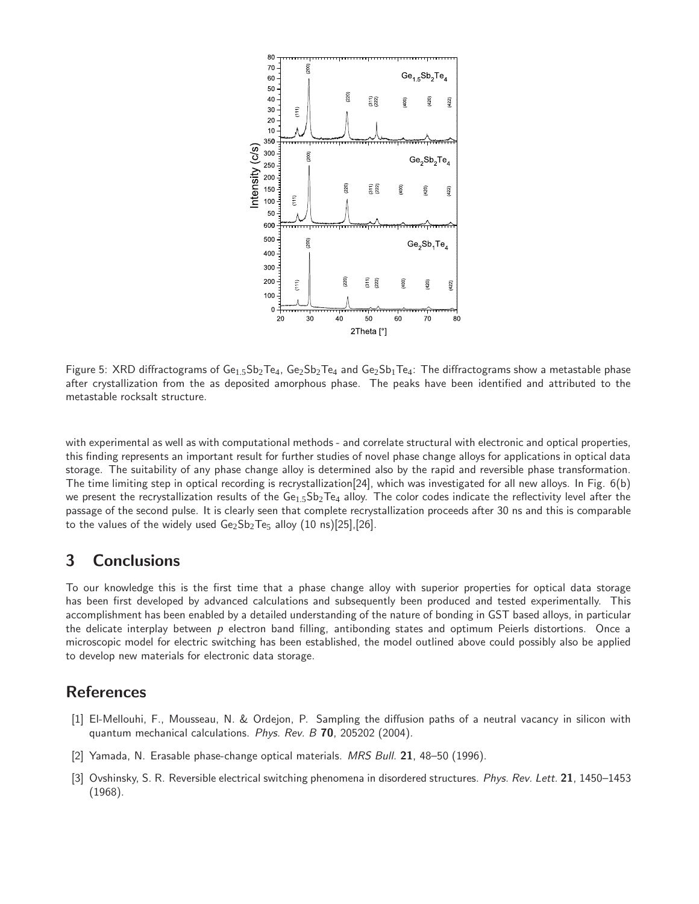

Figure 5: XRD diffractograms of  $Ge_{1.5}Sb_2Te_4$ ,  $Ge_2Sb_2Te_4$  and  $Ge_2Sb_1Te_4$ : The diffractograms show a metastable phase after crystallization from the as deposited amorphous phase. The peaks have been identified and attributed to the metastable rocksalt structure.

with experimental as well as with computational methods - and correlate structural with electronic and optical properties, this finding represents an important result for further studies of novel phase change alloys for applications in optical data storage. The suitability of any phase change alloy is determined also by the rapid and reversible phase transformation. The time limiting step in optical recording is recrystallization[24], which was investigated for all new alloys. In Fig. 6(b) we present the recrystallization results of the  $Ge<sub>1.5</sub>Sp<sub>2</sub>Te<sub>4</sub>$  alloy. The color codes indicate the reflectivity level after the passage of the second pulse. It is clearly seen that complete recrystallization proceeds after 30 ns and this is comparable to the values of the widely used  $Ge_2Sb_2Te_5$  alloy (10 ns)[25],[26].

## 3 Conclusions

To our knowledge this is the first time that a phase change alloy with superior properties for optical data storage has been first developed by advanced calculations and subsequently been produced and tested experimentally. This accomplishment has been enabled by a detailed understanding of the nature of bonding in GST based alloys, in particular the delicate interplay between *p* electron band filling, antibonding states and optimum Peierls distortions. Once a microscopic model for electric switching has been established, the model outlined above could possibly also be applied to develop new materials for electronic data storage.

### References

- [1] El-Mellouhi, F., Mousseau, N. & Ordejon, P. Sampling the diffusion paths of a neutral vacancy in silicon with quantum mechanical calculations. Phys. Rev. B 70, 205202 (2004).
- [2] Yamada, N. Erasable phase-change optical materials. MRS Bull. 21, 48–50 (1996).
- [3] Ovshinsky, S. R. Reversible electrical switching phenomena in disordered structures. Phys. Rev. Lett. 21, 1450–1453 (1968).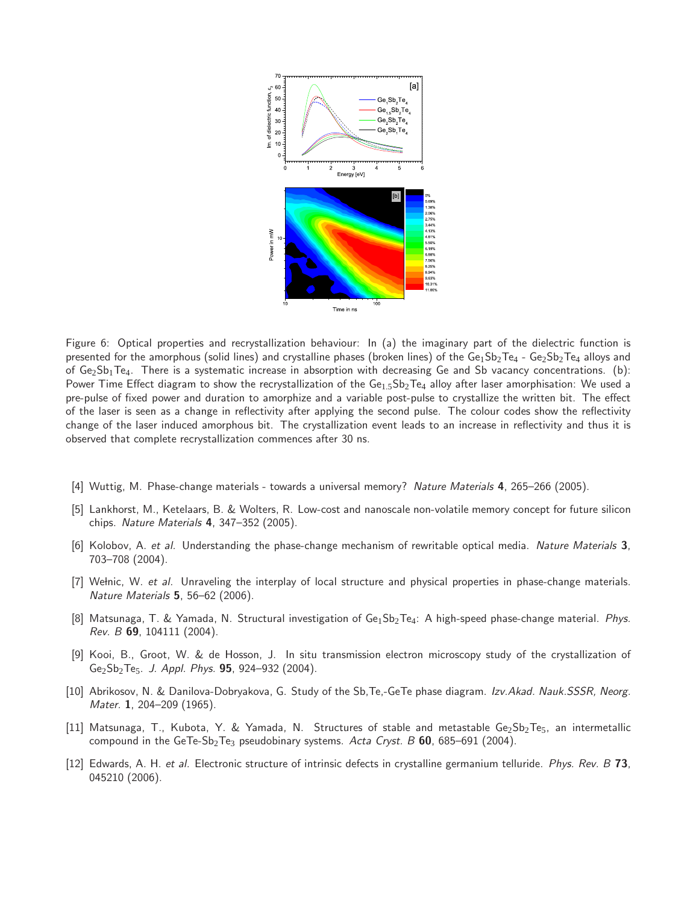

Figure 6: Optical properties and recrystallization behaviour: In (a) the imaginary part of the dielectric function is presented for the amorphous (solid lines) and crystalline phases (broken lines) of the Ge<sub>1</sub>Sb<sub>2</sub>Te<sub>4</sub> - Ge<sub>2</sub>Sb<sub>2</sub>Te<sub>4</sub> alloys and of  $Ge_2Sb_1Te_4$ . There is a systematic increase in absorption with decreasing Ge and Sb vacancy concentrations. (b): Power Time Effect diagram to show the recrystallization of the  $Ge_{1.5}Sb_2Te_4$  alloy after laser amorphisation: We used a pre-pulse of fixed power and duration to amorphize and a variable post-pulse to crystallize the written bit. The effect of the laser is seen as a change in reflectivity after applying the second pulse. The colour codes show the reflectivity change of the laser induced amorphous bit. The crystallization event leads to an increase in reflectivity and thus it is observed that complete recrystallization commences after 30 ns.

- [4] Wuttig, M. Phase-change materials towards a universal memory? Nature Materials 4, 265–266 (2005).
- [5] Lankhorst, M., Ketelaars, B. & Wolters, R. Low-cost and nanoscale non-volatile memory concept for future silicon chips. Nature Materials 4, 347–352 (2005).
- [6] Kolobov, A. et al. Understanding the phase-change mechanism of rewritable optical media. Nature Materials 3, 703–708 (2004).
- [7] Wełnic, W. et al. Unraveling the interplay of local structure and physical properties in phase-change materials. Nature Materials 5, 56–62 (2006).
- [8] Matsunaga, T. & Yamada, N. Structural investigation of Ge1Sb<sub>2</sub>Te4: A high-speed phase-change material. Phys. Rev.  $B$  69, 104111 (2004).
- [9] Kooi, B., Groot, W. & de Hosson, J. In situ transmission electron microscopy study of the crystallization of  $Ge_2Sb_2Te_5$ . J. Appl. Phys. **95**, 924–932 (2004).
- [10] Abrikosov, N. & Danilova-Dobryakova, G. Study of the Sb, Te,-GeTe phase diagram. Izv. Akad. Nauk. SSSR, Neorg. Mater. 1, 204-209 (1965).
- [11] Matsunaga, T., Kubota, Y. & Yamada, N. Structures of stable and metastable Ge2Sb2Te5, an intermetallic compound in the GeTe-Sb<sub>2</sub>Te<sub>3</sub> pseudobinary systems. Acta Cryst. B 60, 685–691 (2004).
- [12] Edwards, A. H. et al. Electronic structure of intrinsic defects in crystalline germanium telluride. Phys. Rev. B 73, 045210 (2006).